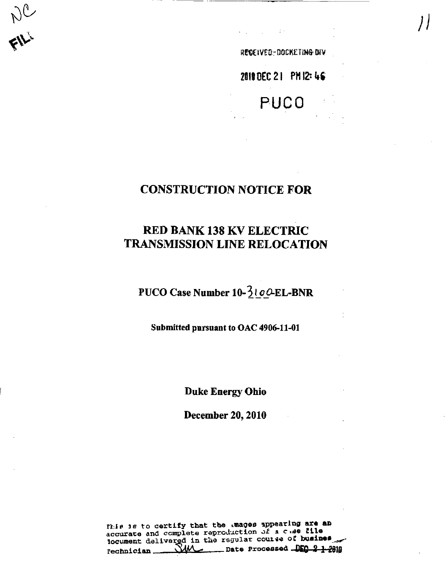ALL.

REGEIVED-DOCKETING DIV

2010 DEC 21 PM 12: 46

# **PUCO**

### **CONSTRUCTION NOTICE FOR**

## **RED BANK 138 KV ELECTRIC TRANSMISSION LINE RELOCATION**

PUCO Case Number 10-3100-EL-BNR

Submitted pursuant to OAC 4906-11-01

**Duke Energy Ohio** 

**December 20, 2010** 

fhis is to certify that the mages appearing are an accurate and complete reproduction of a chae tile locument delivered in the regular course of busines  $\rule{1em}{0.15mm}$  Date Processed  $\frac{1.05}{1.02}\div 2.1$ ᄴ rechnician.  $\mathbf{r}$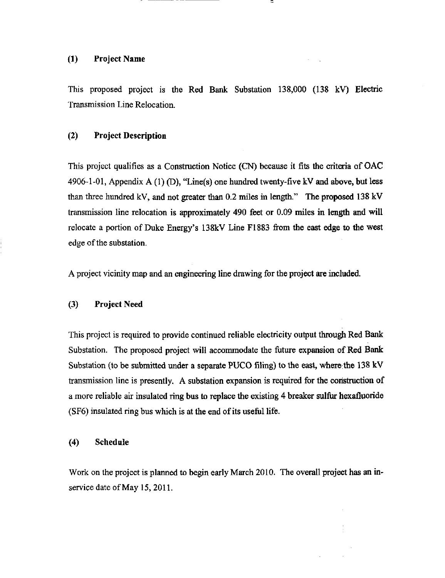#### (1) Project Name

This proposed project is the Red Bank Substation 138,000 (138 kV) Electric Transmission Line Relocation.

 $\sim$ 

#### (2) Project Description

This project qualifies as a Construction Notice (CN) because it fits the criteria of OAC 4906-1-01, Appendix A (1) (D), "Line(s) one hundred twenty-five kV and above, but less than three hundred kV, and not greater than 0.2 miles in length." The proposed 138 kV transmission line relocation is approximately 490 feet or 0.09 miles in length and will relocate a portion of Duke Energy's 138kV Line F1883 from the east edge to the west edge of the substation.

A project vicinity map and an engineering line drawing for the project are included.

#### (3) Project Need

This project is required to provide continued reliable electricity output through Red Bank Substation. The proposed project will accommodate the future expansion of Red Bank Substation (to be submitted under a separate PUCO filing) to the east, where the 138 kV transmission line is presently. A substation expansion is required for the construction of a more reliable air insulated ring bus to replace the existing 4 breaker sulfur hexafluoride (SF6) insulated ring bus which is at the end of its useful life.

#### (4) Schedule

Work on the project is planned to begin early March 2010. The overall project has an inservice date of May 15, 2011.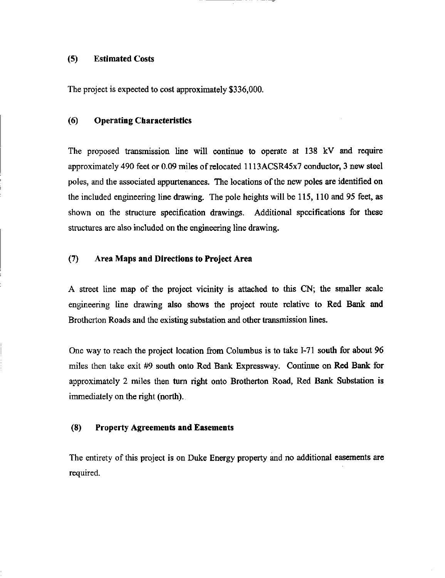#### (5) Estimated Costs

The project is expected to cost approximately \$336,000.

#### (6) Operating Characteristics

The proposed transmission line will continue to operate at 138 kV and require approximately 490 feet or 0.09 miles of relocated 1113ACSR45x7 conductor, 3 new steel poles, and the associated appurtenances. The locations of the new poles are identified on the included engineering line drawing. The pole heights will be 115, 110 and 95 feet, as shown on the structure specification drawings. Additional specifications for these structures are also included on the engineering line drawing.

#### (7) Area Maps and Directions to Project Area

A street line map of the project vicinity is attached to this CN; the smaller scale engineering line drawing also shows the project route relative to Red Bank and Brotherton Roads and the existing substation and other transmission lines.

One way to reach the project location from Columbus is to take  $I-71$  south for about 96 miles then take exit #9 south onto Red Bank Expressway. Continue on Red Bank for approximately 2 miles then turn right onto Brotherton Road, Red Bank Substation is immediately on the right (north).

#### (8) Property Agreements and Easements

The entirety of this project is on Duke Energy property and no additional easements are required.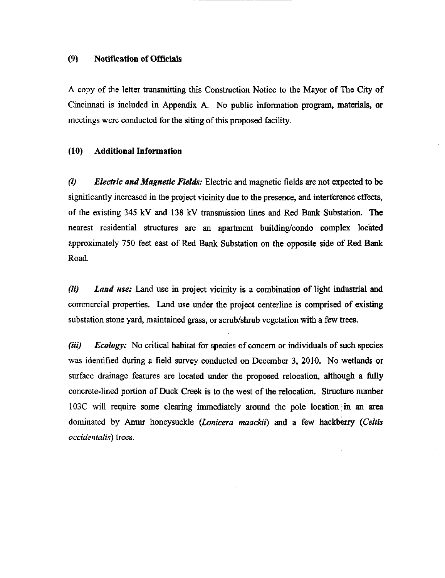#### (9) Notification of Officials

A copy of the letter transmitting this Construction Notice to the Mayor of The City of Cincinnati is included in Appendix A. No public information program, materials, or meetings were conducted for the siting of this proposed facility.

#### (10) Additional Information

(i) Electric and Magnetic Fields: Electric and magnetic fields are not expected to be significantly increased in the project vicinity due to the presence, and interference effects, of the existing 345 kV and 138 kV transmission lines and Red Bank Substation. The nearest residential structures are an apartment building/condo complex located approximately 750 feet east of Red Bank Substation on the opposite side of Red Bank Road,

(ii) Land use: Land use in project vicinity is a combination of light industrial and commercial properties. Land use under the project centerline is comprised of existing substation stone yard, maintained grass, or scrub/shrub vegetation with a few trees.

(iii) Ecology: No critical habitat for species of concern or individuals of such species was identified during a field survey conducted on December 3, 2010. No wetlands or surface drainage features are located under the proposed relocation, although a fiilly concrete-lined portion of Duck Creek is to the west of the relocation. Structure number 103C will require some clearing immediately around the pole location in an area dominated by Amur honeysuckle (Lonicera maackii) and a few hackberry (Celtis occidentalis) trees.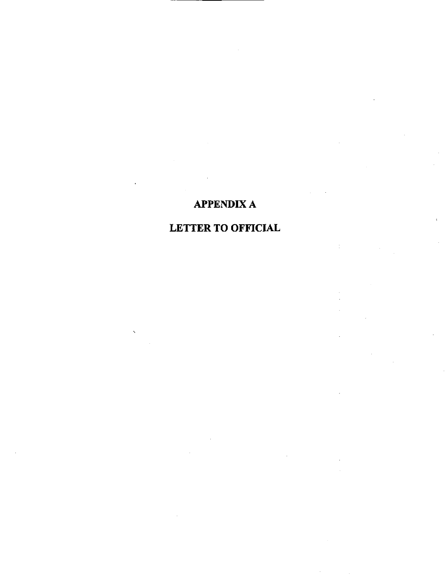### APPENDIX A

## LETTER TO OFFICIAL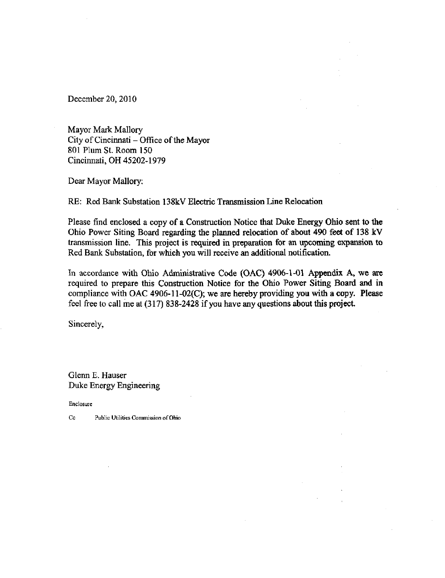December 20, 2010

Mayor Mark Mallory City of Cincinnati - Office of the Mayor 801 Plum St. Room 150 Cincinnati, OH 45202-1979

Dear Mayor Mallory:

RE: Red Bank Substation 138kV Electric Transmission Line Relocation

Please find enclosed a copy of a Construction Notice that Duke Energy Ohio sent to the Ohio Power Siting Board regarding the planned relocation of about 490 feet of 138 kV transmission line. This project is required in preparation for an upcoming expansion to Red Bank Substation, for which you will receive an additional notification.

In accordance with Ohio Administrative Code (OAC) 4906-1-01 Appendix A, we are required to prepare this Construction Notice for the Ohio Power Siting Board and in compliance with OAC 4906-11-02(C); we are hereby providing you with a copy. Please feel free to call me at  $(317)$  838-2428 if you have any questions about this project.

Sincerely,

Glenn E. Hauser Duke Energy Engineering

Enclosure

Cc Public Utilities Commission of Ohio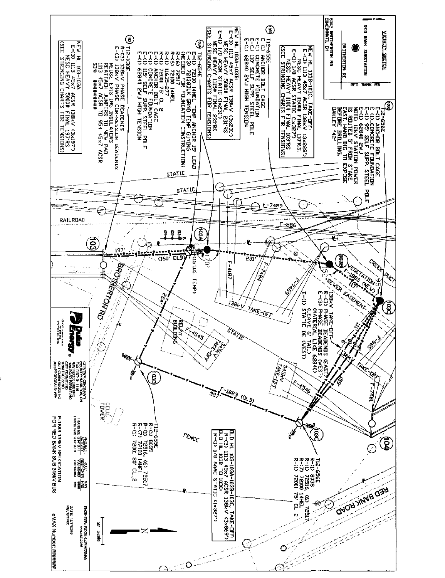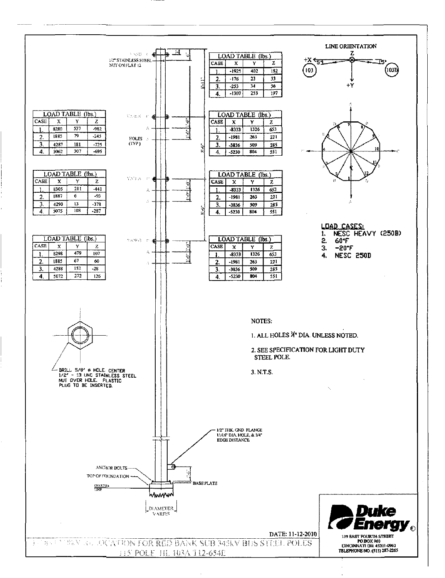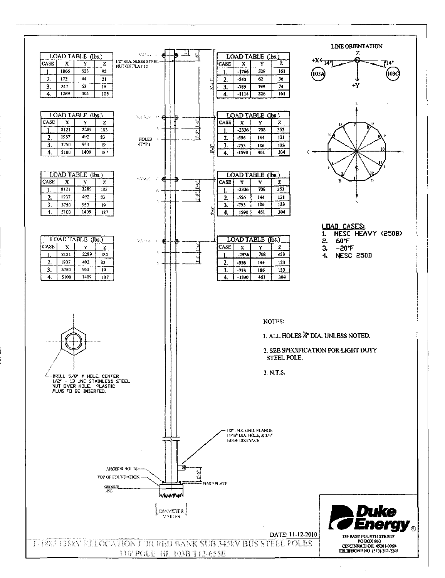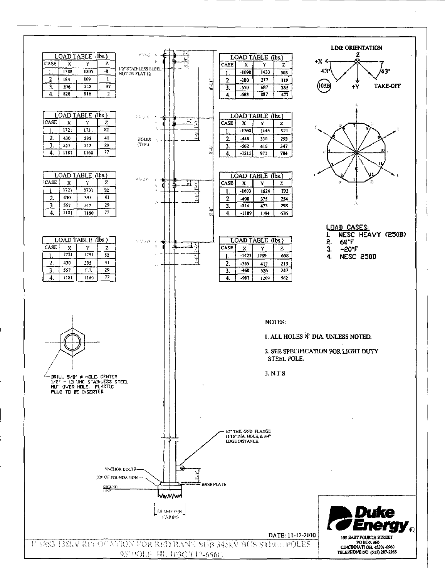